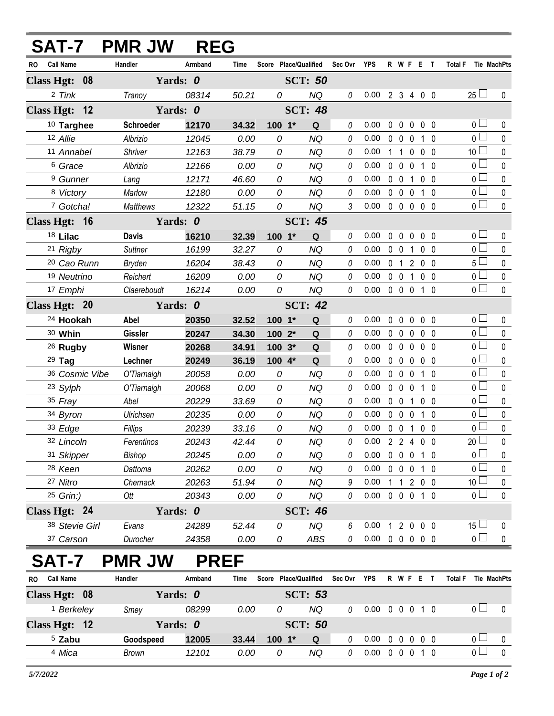|                         | <b>SAT-7 PMR JW</b> | <b>REG</b> |                |                       |                |              |                            |                   |              |                |                            |              |
|-------------------------|---------------------|------------|----------------|-----------------------|----------------|--------------|----------------------------|-------------------|--------------|----------------|----------------------------|--------------|
| <b>Call Name</b><br>RO  | Handler             | Armband    | <b>Time</b>    | Score Place/Qualified |                | Sec Ovr YPS  |                            |                   | R W F E T    |                | <b>Total F</b> Tie MachPts |              |
| Class Hgt: 08           | Yards: 0            |            | <b>SCT: 50</b> |                       |                |              |                            |                   |              |                |                            |              |
| 2 Tink                  | Tranoy              | 08314      | 50.21          | 0                     | <b>NQ</b>      | 0            | $0.00$ 2 3 4 0 0           |                   |              |                | $25 \Box$                  | $\mathbf 0$  |
| Class Hgt: 12           | Yards: 0            |            |                |                       | <b>SCT: 48</b> |              |                            |                   |              |                |                            |              |
| 10 Targhee              | <b>Schroeder</b>    | 12170      | 34.32          | $100 - 1*$            | Q              | 0            | 0.00                       |                   | 00000        |                | 0 <sub>1</sub>             | 0            |
| 12 Allie                | Albrizio            | 12045      | 0.00           | 0                     | <b>NQ</b>      | 0            | 0.00                       |                   | 0 0 0 1 0    |                | 0 <sub>l</sub>             | $\mathbf 0$  |
| 11 Annabel              | Shriver             | 12163      | 38.79          | 0                     | <b>NQ</b>      | 0            | 0.00                       |                   | 1 1 0 0 0    |                | 10 <sup>1</sup>            | $\mathbf{0}$ |
| <sup>6</sup> Grace      | Albrizio            | 12166      | 0.00           | 0                     | <b>NQ</b>      | 0            | 0.00                       | $0\quad 0\quad 0$ |              | 10             | $0\square$                 | $\pmb{0}$    |
| <sup>9</sup> Gunner     | Lang                | 12171      | 46.60          | 0                     | <b>NQ</b>      | 0            | 0.00                       | $0\quad 0$        | $\mathbf{1}$ | 0 <sub>0</sub> | 0 <sub>0</sub>             | $\mathbf 0$  |
| 8 Victory               | Marlow              | 12180      | 0.00           | 0                     | <b>NQ</b>      | 0            | 0.00                       |                   | 0 0 0 1 0    |                | $0\square$                 | $\pmb{0}$    |
| 7 Gotcha!               | <b>Matthews</b>     | 12322      | 51.15          | 0                     | <b>NQ</b>      | 3            | $0.00 \t0 \t0 \t0 \t0 \t0$ |                   |              |                | $\overline{0}$             | $\mathbf 0$  |
| Class Hgt: 16           | Yards: 0            |            | <b>SCT: 45</b> |                       |                |              |                            |                   |              |                |                            |              |
| 18 Lilac                | <b>Davis</b>        | 16210      | 32.39          | 100 1*                | Q              | 0            | 0.00                       | $0\quad 0\quad 0$ |              | 0 <sub>0</sub> | 0 <sub>0</sub>             | $\mathbf 0$  |
| 21 Rigby                | <b>Suttner</b>      | 16199      | 32.27          | 0                     | <b>NQ</b>      | 0            | 0.00                       | $0\quad 0$        | $\mathbf{1}$ | $0\quad 0$     | 0 <sub>l</sub>             | $\mathbf{0}$ |
| <sup>20</sup> Cao Runn  | Bryden              | 16204      | 38.43          | 0                     | <b>NQ</b>      | 0            | 0.00                       |                   | 0 1 2 0 0    |                | $5\Box$                    | $\mathbf 0$  |
| 19 Neutrino             | Reichert            | 16209      | 0.00           | 0                     | <b>NQ</b>      | 0            | 0.00                       | $0\quad 0$        |              | 1 0 0          | 0 <sub>1</sub>             | $\pmb{0}$    |
| 17 Emphi                | Claereboudt         | 16214      | 0.00           | 0                     | <b>NQ</b>      | $\theta$     | $0.00 \t0 \t0 \t0 \t1 \t0$ |                   |              |                | $\overline{0}$             | $\mathbf{0}$ |
| Class Hgt: 20           | Yards: 0            |            |                | <b>SCT: 42</b>        |                |              |                            |                   |              |                |                            |              |
| <sup>24</sup> Hookah    | Abel                | 20350      | 32.52          | $100 - 1*$            | Q              | 0            | 0.00                       |                   | 00000        |                | 0 <sub>0</sub>             | 0            |
| 30 Whin                 | <b>Gissler</b>      | 20247      | 34.30          | 100 2*                | Q              | $\theta$     | 0.00                       |                   | 00000        |                | $\overline{0}$             | $\mathbf 0$  |
| <sup>26</sup> Rugby     | Wisner              | 20268      | 34.91          | $100.3*$              | Q              | 0            | 0.00                       |                   | 0 0 0 0 0    |                | $\overline{0}$             | $\mathbf 0$  |
| $29$ Tag                | Lechner             | 20249      | 36.19          | 100 4*                | Q              | $\theta$     | 0.00                       |                   | 00000        |                | $\overline{0}$             | $\pmb{0}$    |
| 36 Cosmic Vibe          | O'Tiarnaigh         | 20058      | 0.00           | 0                     | <b>NQ</b>      | 0            | 0.00                       | $0\quad 0\quad 0$ |              | 1 0            | 0 <sub>0</sub>             | $\pmb{0}$    |
| 23 Sylph                | O'Tiarnaigh         | 20068      | 0.00           | 0                     | <b>NQ</b>      | 0            | 0.00                       | $0\quad 0\quad 0$ |              | 1 0            | $0\square$                 | $\mathbf 0$  |
| 35 Fray                 | Abel                | 20229      | 33.69          | 0                     | <b>NQ</b>      | 0            | 0.00                       | $0\quad 0$        | $\mathbf{1}$ | $0\quad 0$     | 0 <sub>1</sub>             | $\mathbf 0$  |
| 34 Byron                | Ulrichsen           | 20235      | 0.00           | 0                     | <b>NQ</b>      | $\Omega$     | 0.00                       |                   | 0 0 0 1 0    |                | $\overline{0}$             | $\pmb{0}$    |
| 33 Edge                 | Fillips             | 20239      | 33.16          | 0                     | <b>NQ</b>      | 0            | 0.00                       |                   | 0 0 1 0 0    |                | 0 <sup>1</sup>             | $\pmb{0}$    |
| 32 Lincoln              | Ferentinos          | 20243      | 42.44          | 0                     | <b>NQ</b>      | $\mathcal O$ | 0.00 2 2 4 0 0             |                   |              |                | $20$ $\Box$                | $\mathbf 0$  |
| 31 Skipper              | Bishop              | 20245      | 0.00           | 0                     | <b>NQ</b>      | 0            | 0.00                       |                   | 0 0 0 1 0    |                | 0 <sub>0</sub>             | 0            |
| 28 Keen                 | Dattoma             | 20262      | 0.00           | 0                     | <b>NQ</b>      | 0            | 0.00                       |                   | 0 0 0 1 0    |                | 0 <sup>1</sup>             | $\mathbf 0$  |
| 27 Nitro                | Chernack            | 20263      | 51.94          | 0                     | <b>NQ</b>      | 9            | 0.00                       |                   | 1 1 2 0 0    |                | 10 <sup>1</sup>            | 0            |
| 25 Grin:)               | Ott                 | 20343      | 0.00           | 0                     | <b>NQ</b>      | 0            | 0.00 0 0 0 1 0             |                   |              |                | 0 <sub>0</sub>             | $\mathbf 0$  |
| Class Hgt: 24           | Yards: 0            |            |                |                       | <b>SCT: 46</b> |              |                            |                   |              |                |                            |              |
| 38 Stevie Girl          | Evans               | 24289      | 52.44          | 0                     | <b>NQ</b>      | 6            | 0.00                       |                   | 1 2 0 0 0    |                | $15 -$                     | $\bf{0}$     |
| 37 Carson               | Durocher            | 24358      | 0.00           | 0                     | ABS            | 0            | $0.00 \t0 \t0 \t0 \t0 \t0$ |                   |              |                | $\overline{0}$             | $\pmb{0}$    |
| SAT-7                   | <b>PMR JW</b>       |            | <b>PREF</b>    |                       |                |              |                            |                   |              |                |                            |              |
| <b>Call Name</b><br>RO. | Handler             | Armband    | Time           | Score Place/Qualified |                | Sec Ovr      | <b>YPS</b>                 |                   | R W F E T    |                | <b>Total F</b>             | Tie MachPts  |
| Class Hgt: 08           | Yards: 0            |            |                |                       | <b>SCT: 53</b> |              |                            |                   |              |                |                            |              |
| <sup>1</sup> Berkeley   | Smey                | 08299      | 0.00           | 0                     | <b>NQ</b>      | $\theta$     | $0.00 \t0 \t0 \t0 \t1 \t0$ |                   |              |                | 0 <sub>1</sub>             | 0            |
| Class Hgt: 12           | Yards: 0            |            |                |                       | <b>SCT: 50</b> |              |                            |                   |              |                |                            |              |
| <sup>5</sup> Zabu       | Goodspeed           | 12005      | 33.44          | $100 - 1*$            | Q              | $\theta$     | $0.00 \t0 \t0 \t0 \t0$     |                   |              |                | 0 <sub>1</sub>             | $\mathbf 0$  |

*Mica Brown 12101 0.00 0 NQ 0* 0.00 0 0 0 1 0 0 0